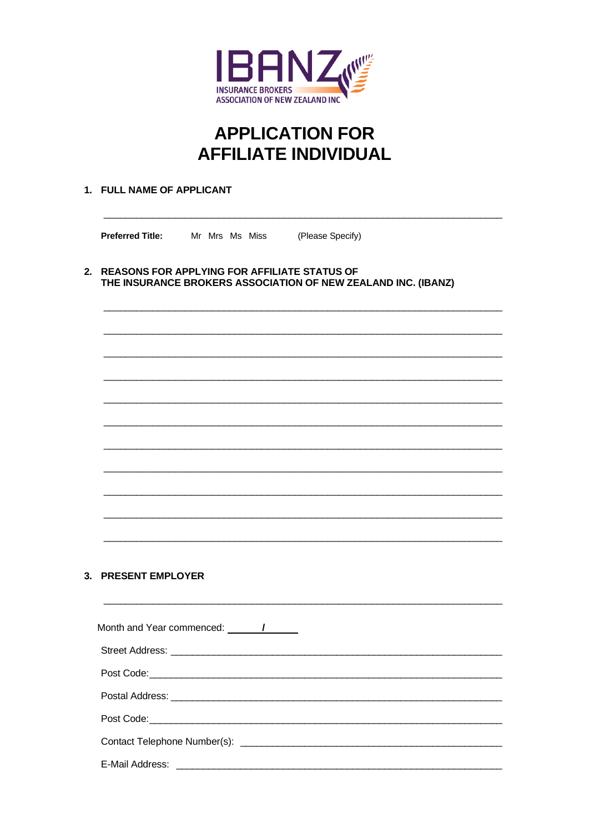

# **APPLICATION FOR AFFILIATE INDIVIDUAL**

# 1. FULL NAME OF APPLICANT

**Preferred Title:** Mr Mrs Ms Miss (Please Specify)

2. REASONS FOR APPLYING FOR AFFILIATE STATUS OF THE INSURANCE BROKERS ASSOCIATION OF NEW ZEALAND INC. (IBANZ)

# 3. PRESENT EMPLOYER

| Month and Year commenced: 1                                                                                                                                                                                                          |
|--------------------------------------------------------------------------------------------------------------------------------------------------------------------------------------------------------------------------------------|
|                                                                                                                                                                                                                                      |
| Post Code: <u>compared by the contract of the contract of the contract of the contract of the contract of the contract of the contract of the contract of the contract of the contract of the contract of the contract of the co</u> |
|                                                                                                                                                                                                                                      |
|                                                                                                                                                                                                                                      |
|                                                                                                                                                                                                                                      |
|                                                                                                                                                                                                                                      |